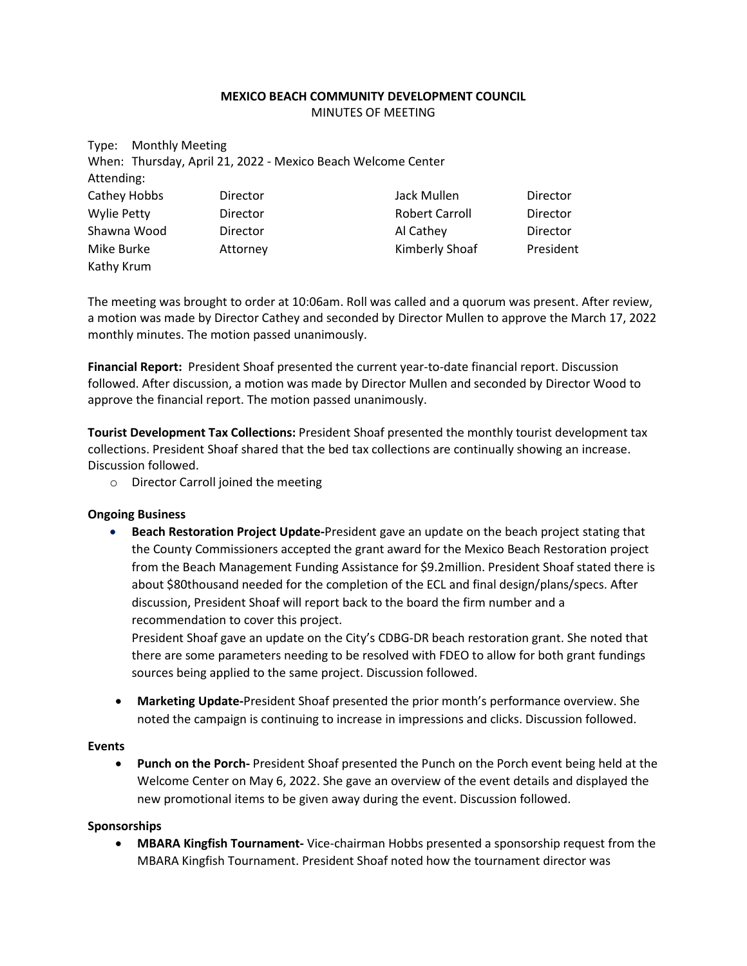## **MEXICO BEACH COMMUNITY DEVELOPMENT COUNCIL** MINUTES OF MEETING

| <b>Monthly Meeting</b><br>Type: |                                                              |                       |           |
|---------------------------------|--------------------------------------------------------------|-----------------------|-----------|
|                                 | When: Thursday, April 21, 2022 - Mexico Beach Welcome Center |                       |           |
| Attending:                      |                                                              |                       |           |
| Cathey Hobbs                    | Director                                                     | Jack Mullen           | Director  |
| <b>Wylie Petty</b>              | <b>Director</b>                                              | <b>Robert Carroll</b> | Director  |
| Shawna Wood                     | <b>Director</b>                                              | Al Cathey             | Director  |
| Mike Burke                      | Attorney                                                     | Kimberly Shoaf        | President |
| Kathy Krum                      |                                                              |                       |           |

The meeting was brought to order at 10:06am. Roll was called and a quorum was present. After review, a motion was made by Director Cathey and seconded by Director Mullen to approve the March 17, 2022 monthly minutes. The motion passed unanimously.

**Financial Report:** President Shoaf presented the current year-to-date financial report. Discussion followed. After discussion, a motion was made by Director Mullen and seconded by Director Wood to approve the financial report. The motion passed unanimously.

**Tourist Development Tax Collections:** President Shoaf presented the monthly tourist development tax collections. President Shoaf shared that the bed tax collections are continually showing an increase. Discussion followed.

o Director Carroll joined the meeting

## **Ongoing Business**

• **Beach Restoration Project Update-**President gave an update on the beach project stating that the County Commissioners accepted the grant award for the Mexico Beach Restoration project from the Beach Management Funding Assistance for \$9.2million. President Shoaf stated there is about \$80thousand needed for the completion of the ECL and final design/plans/specs. After discussion, President Shoaf will report back to the board the firm number and a recommendation to cover this project.

President Shoaf gave an update on the City's CDBG-DR beach restoration grant. She noted that there are some parameters needing to be resolved with FDEO to allow for both grant fundings sources being applied to the same project. Discussion followed.

• **Marketing Update-**President Shoaf presented the prior month's performance overview. She noted the campaign is continuing to increase in impressions and clicks. Discussion followed.

## **Events**

• **Punch on the Porch-** President Shoaf presented the Punch on the Porch event being held at the Welcome Center on May 6, 2022. She gave an overview of the event details and displayed the new promotional items to be given away during the event. Discussion followed.

## **Sponsorships**

• **MBARA Kingfish Tournament-** Vice-chairman Hobbs presented a sponsorship request from the MBARA Kingfish Tournament. President Shoaf noted how the tournament director was